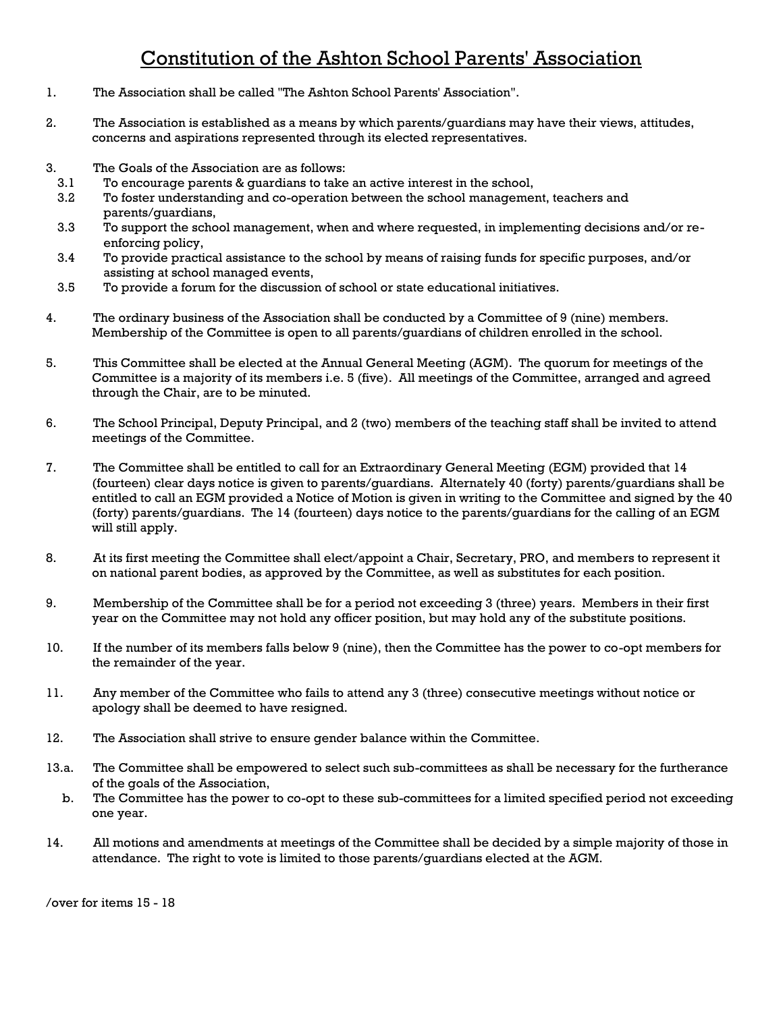## Constitution of the Ashton School Parents' Association

- 1. The Association shall be called "The Ashton School Parents' Association".
- 2. The Association is established as a means by which parents/guardians may have their views, attitudes, concerns and aspirations represented through its elected representatives.
- 3. The Goals of the Association are as follows:
	- 3.1 To encourage parents & guardians to take an active interest in the school,
	- 3.2 To foster understanding and co-operation between the school management, teachers and parents/guardians,
	- 3.3 To support the school management, when and where requested, in implementing decisions and/or reenforcing policy,
	- 3.4 To provide practical assistance to the school by means of raising funds for specific purposes, and/or assisting at school managed events,
- 3.5 To provide a forum for the discussion of school or state educational initiatives.
- 4. The ordinary business of the Association shall be conducted by a Committee of 9 (nine) members. Membership of the Committee is open to all parents/guardians of children enrolled in the school.
- 5. This Committee shall be elected at the Annual General Meeting (AGM). The quorum for meetings of the Committee is a majority of its members i.e. 5 (five). All meetings of the Committee, arranged and agreed through the Chair, are to be minuted.
- 6. The School Principal, Deputy Principal, and 2 (two) members of the teaching staff shall be invited to attend meetings of the Committee.
- 7. The Committee shall be entitled to call for an Extraordinary General Meeting (EGM) provided that 14 (fourteen) clear days notice is given to parents/guardians. Alternately 40 (forty) parents/guardians shall be entitled to call an EGM provided a Notice of Motion is given in writing to the Committee and signed by the 40 (forty) parents/guardians. The 14 (fourteen) days notice to the parents/guardians for the calling of an EGM will still apply.
- 8. At its first meeting the Committee shall elect/appoint a Chair, Secretary, PRO, and members to represent it on national parent bodies, as approved by the Committee, as well as substitutes for each position.
- 9. Membership of the Committee shall be for a period not exceeding 3 (three) years. Members in their first year on the Committee may not hold any officer position, but may hold any of the substitute positions.
- 10. If the number of its members falls below 9 (nine), then the Committee has the power to co-opt members for the remainder of the year.
- 11. Any member of the Committee who fails to attend any 3 (three) consecutive meetings without notice or apology shall be deemed to have resigned.
- 12. The Association shall strive to ensure gender balance within the Committee.
- 13.a. The Committee shall be empowered to select such sub-committees as shall be necessary for the furtherance of the goals of the Association,
- b. The Committee has the power to co-opt to these sub-committees for a limited specified period not exceeding one year.
- 14. All motions and amendments at meetings of the Committee shall be decided by a simple majority of those in attendance. The right to vote is limited to those parents/guardians elected at the AGM.

/over for items 15 - 18